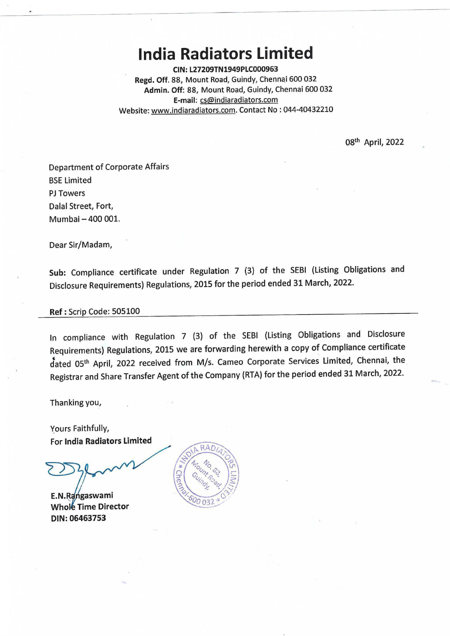## **India Radiators Limited**

**CIN:L27209TN1949PLC000963 Regd. Off.** 88, Mount Road, Guindy, Chennai 600 032 **Admin. Off:** 88, Mount Road, Guindy, Chennai 600 032 **E-mail:** cs@indiaradiators.com Website: www.indiaradiators.com. Contact No : 044-40432210

08<sup>th</sup> April, 2022

Department of Corporate Affairs BSE Limited PJ Towers Dalal Street, Fort, Mumbai - 400 001.

Dear Sir/Madam,

**Sub:** Compliance certificate under Regulation 7 (3) of the SEBI (Listing Obligations and Disclosure Requirements) Regulations, 2015 for the period ended 31 March, 2022.

## **Ref:** Scrip Code: 505100

In compliance with Regulation 7 (3) of the SEBI (Listing Obligations and Disclosure Requirements) Regulations, 2015 we are forwarding herewith a copy of Compliance certificate dated 05<sup>th</sup> April, 2022 received from M/s. Cameo Corporate Services Limited, Chennai, the Registrar and Share Transfer Agent of the Company (RTA) for the period ended 31 March, 2022.

Thanking you,

Yours Faithfully, For **India Radiators Limited** 

**E.N.Rangaswami Whole Time Director DIN: 06463753**